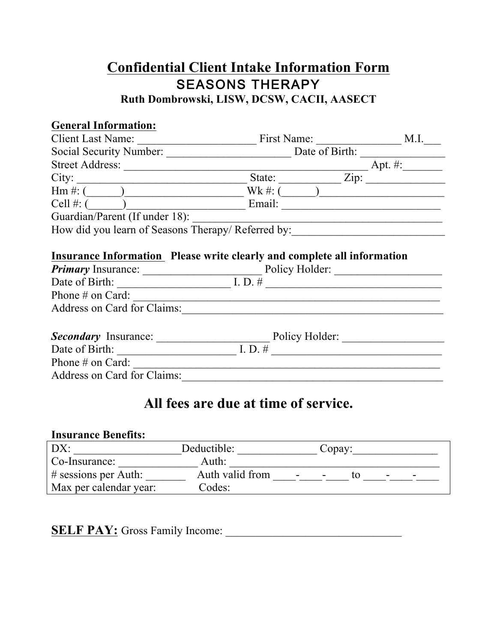## **Confidential Client Intake Information Form** SEASONS THERAPY **Ruth Dombrowski, LISW, DCSW, CACII, AASECT**

### **General Information:**

| Client Last Name:                                                                                                                                                                                      | First Name:                           | M.I. |
|--------------------------------------------------------------------------------------------------------------------------------------------------------------------------------------------------------|---------------------------------------|------|
|                                                                                                                                                                                                        |                                       |      |
|                                                                                                                                                                                                        |                                       |      |
| City:                                                                                                                                                                                                  | State: <u>Zip:</u>                    |      |
| $\lim_{x \to 0} \frac{1}{x}$ . $\lim_{x \to 0} \frac{1}{x}$                                                                                                                                            | $Wk \#:\overline{(\_\_\_\_\_\_\_\_\_$ |      |
|                                                                                                                                                                                                        |                                       |      |
| Guardian/Parent (If under 18):<br>How did you learn of Seasons Therapy/Referred by:                                                                                                                    |                                       |      |
|                                                                                                                                                                                                        |                                       |      |
| Insurance Information Please write clearly and complete all information<br><b>Primary</b> Insurance: Department Policy Holder:<br>Date of Birth: $\qquad \qquad \qquad$ I. D. #<br>Phone $\#$ on Card: |                                       |      |
| Address on Card for Claims:                                                                                                                                                                            |                                       |      |
| <b>Secondary</b> Insurance: Policy Holder:<br>Date of Birth: I.D. #<br>Phone $\#$ on Card:<br>Address on Card for Claims:                                                                              |                                       |      |

# **All fees are due at time of service.**

### **Insurance Benefits:**

| DX:                     | Deductible:     |        | Copay:                   |                          |  |
|-------------------------|-----------------|--------|--------------------------|--------------------------|--|
| Co-Insurance:           | Auth:           |        |                          |                          |  |
| $\#$ sessions per Auth: | Auth valid from | $\sim$ | $\overline{\phantom{a}}$ | $\overline{\phantom{a}}$ |  |
| Max per calendar year:  | Codes:          |        |                          |                          |  |

**SELF PAY:** Gross Family Income: \_\_\_\_\_\_\_\_\_\_\_\_\_\_\_\_\_\_\_\_\_\_\_\_\_\_\_\_\_\_\_